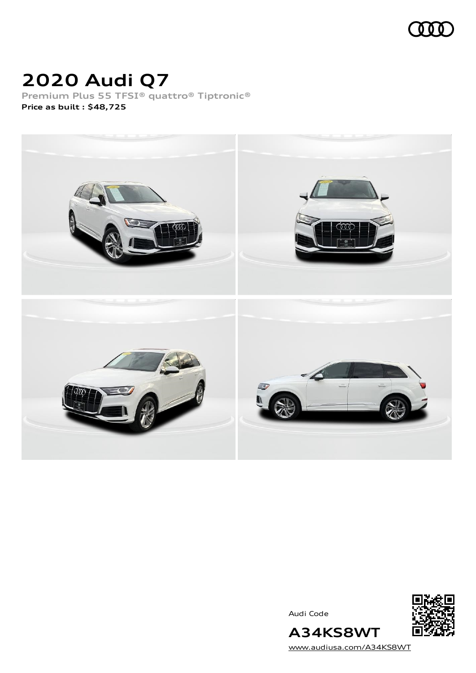

# **2020 Audi Q7**

**Premium Plus 55 TFSI® quattro® Tiptronic® Price as built [:](#page-10-0) \$48,725**



Audi Code



[www.audiusa.com/A34KS8WT](https://www.audiusa.com/A34KS8WT)

**A34KS8WT**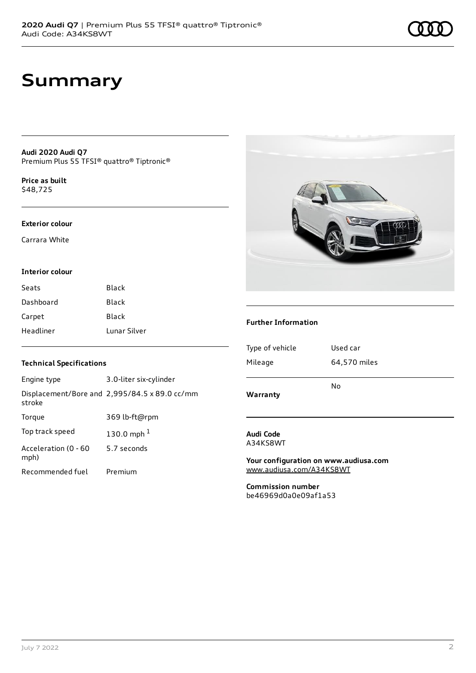**Audi 2020 Audi Q7** Premium Plus 55 TFSI® quattro® Tiptronic®

**Price as buil[t](#page-10-0)** \$48,725

#### **Exterior colour**

Carrara White

#### **Interior colour**

| Seats     | <b>Black</b> |
|-----------|--------------|
| Dashboard | <b>Black</b> |
| Carpet    | Black        |
| Headliner | Lunar Silver |

### **Technical Specifications**

| Engine type                  | 3.0-liter six-cylinder                        |
|------------------------------|-----------------------------------------------|
| stroke                       | Displacement/Bore and 2,995/84.5 x 89.0 cc/mm |
| Torque                       | 369 lb-ft@rpm                                 |
| Top track speed              | 130.0 mph $^{1}$                              |
| Acceleration (0 - 60<br>mph) | 5.7 seconds                                   |
| Recommended fuel             | Premium                                       |



#### **Further Information**

| Warranty        | No           |
|-----------------|--------------|
| Mileage         | 64,570 miles |
| Type of vehicle | Used car     |
|                 |              |

#### **Audi Code** A34KS8WT

**Your configuration on www.audiusa.com** [www.audiusa.com/A34KS8WT](https://www.audiusa.com/A34KS8WT)

**Commission number** be46969d0a0e09af1a53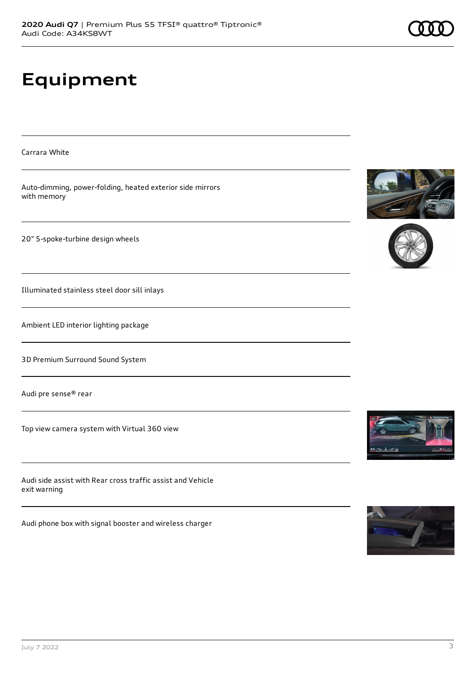# **Equipment**

Carrara White Auto-dimming, power-folding, heated exterior side mirrors with memory 20" 5-spoke-turbine design wheels Illuminated stainless steel door sill inlays Ambient LED interior lighting package 3D Premium Surround Sound System Audi pre sense® rear Top view camera system with Virtual 360 view a<br>Alerik

Audi side assist with Rear cross traffic assist and Vehicle exit warning

Audi phone box with signal booster and wireless charger

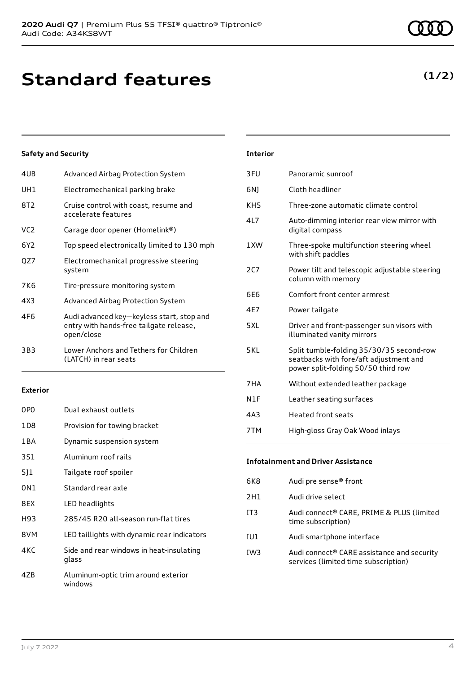| 4UB             | Advanced Airbag Protection System                                                                  |
|-----------------|----------------------------------------------------------------------------------------------------|
| UH1             | Electromechanical parking brake                                                                    |
| 8T2             | Cruise control with coast, resume and<br>accelerate features                                       |
| VC <sub>2</sub> | Garage door opener (Homelink®)                                                                     |
| 6Y2             | Top speed electronically limited to 130 mph                                                        |
| QZ7             | Electromechanical progressive steering<br>system                                                   |
| 7K6             | Tire-pressure monitoring system                                                                    |
| 4X3             | Advanced Airbag Protection System                                                                  |
| 4F6             | Audi advanced key-keyless start, stop and<br>entry with hands-free tailgate release,<br>open/close |
| 3B3             | Lower Anchors and Tethers for Children<br>(LATCH) in rear seats                                    |

#### **Exterior**

| 0PO   | Dual exhaust outlets                              |
|-------|---------------------------------------------------|
| 1D8   | Provision for towing bracket                      |
| 1 B A | Dynamic suspension system                         |
| 3S1   | Aluminum roof rails                               |
| 511   | Tailgate roof spoiler                             |
| 0N1   | Standard rear axle                                |
| 8EX   | LED headlights                                    |
| H93   | 285/45 R20 all-season run-flat tires              |
| 8VM   | LED taillights with dynamic rear indicators       |
| 4KC   | Side and rear windows in heat-insulating<br>glass |
| 47B   | Aluminum-optic trim around exterior<br>windows    |

# 3FU Panoramic sunroof 6NJ Cloth headliner KH5 Three-zone automatic climate control 4L7 Auto-dimming interior rear view mirror with digital compass 1XW Three-spoke multifunction steering wheel with shift paddles 2C7 Power tilt and telescopic adjustable steering column with memory 6E6 Comfort front center armrest 4E7 Power tailgate 5XL Driver and front-passenger sun visors with illuminated vanity mirrors 5KL Split tumble-folding 35/30/35 second-row seatbacks with fore/aft adjustment and power split-folding 50/50 third row 7HA Without extended leather package N1F Leather seating surfaces 4A3 Heated front seats 7TM High-gloss Gray Oak Wood inlays

**Interior**

### **Infotainment and Driver Assistance**

| 6K8             | Audi pre sense® front                                                              |
|-----------------|------------------------------------------------------------------------------------|
| 2H1             | Audi drive select                                                                  |
| IT <sub>3</sub> | Audi connect® CARE, PRIME & PLUS (limited<br>time subscription)                    |
| IU1             | Audi smartphone interface                                                          |
| IW <sub>3</sub> | Audi connect® CARE assistance and security<br>services (limited time subscription) |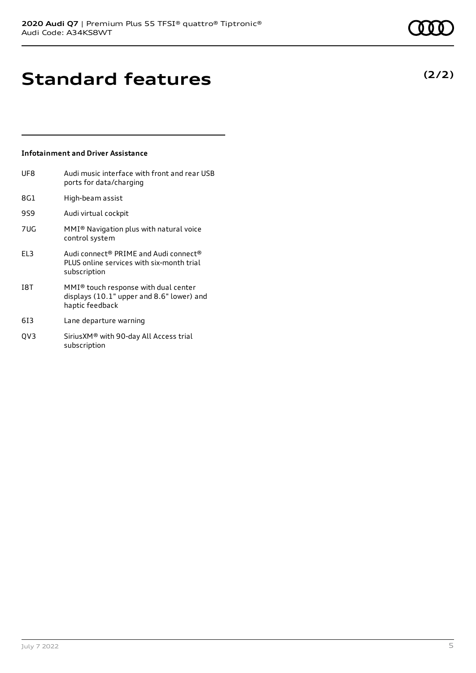**Standard features**

# **Infotainment and Driver Assistance**

| UF8             | Audi music interface with front and rear USB<br>ports for data/charging                                |
|-----------------|--------------------------------------------------------------------------------------------------------|
| 8G1             | High-beam assist                                                                                       |
| 9S9             | Audi virtual cockpit                                                                                   |
| 7UG             | MMI <sup>®</sup> Navigation plus with natural voice<br>control system                                  |
| FI <sub>3</sub> | Audi connect® PRIME and Audi connect®<br>PLUS online services with six-month trial<br>subscription     |
| <b>18T</b>      | $MMI®$ touch response with dual center<br>displays (10.1" upper and 8.6" lower) and<br>haptic feedback |
| 613             | Lane departure warning                                                                                 |

QV3 SiriusXM® with 90-day All Access trial subscription

# **(2/2)**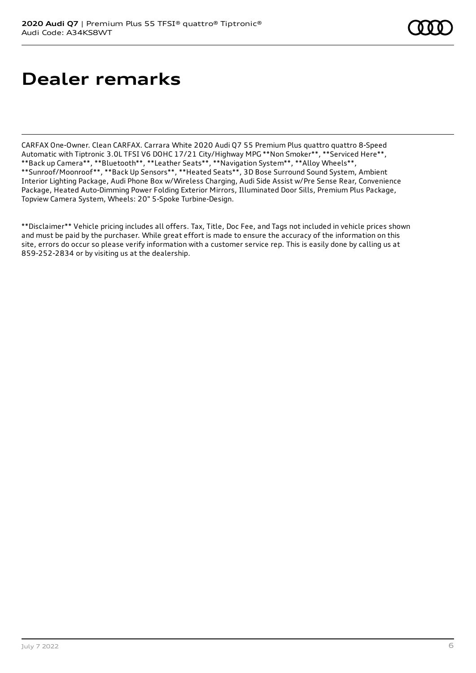# **Dealer remarks**

CARFAX One-Owner. Clean CARFAX. Carrara White 2020 Audi Q7 55 Premium Plus quattro quattro 8-Speed Automatic with Tiptronic 3.0L TFSI V6 DOHC 17/21 City/Highway MPG \*\*Non Smoker\*\*, \*\*Serviced Here\*\*, \*\*Back up Camera\*\*, \*\*Bluetooth\*\*, \*\*Leather Seats\*\*, \*\*Navigation System\*\*, \*\*Alloy Wheels\*\*, \*\*Sunroof/Moonroof\*\*, \*\*Back Up Sensors\*\*, \*\*Heated Seats\*\*, 3D Bose Surround Sound System, Ambient Interior Lighting Package, Audi Phone Box w/Wireless Charging, Audi Side Assist w/Pre Sense Rear, Convenience Package, Heated Auto-Dimming Power Folding Exterior Mirrors, Illuminated Door Sills, Premium Plus Package, Topview Camera System, Wheels: 20" 5-Spoke Turbine-Design.

\*\*Disclaimer\*\* Vehicle pricing includes all offers. Tax, Title, Doc Fee, and Tags not included in vehicle prices shown and must be paid by the purchaser. While great effort is made to ensure the accuracy of the information on this site, errors do occur so please verify information with a customer service rep. This is easily done by calling us at 859-252-2834 or by visiting us at the dealership.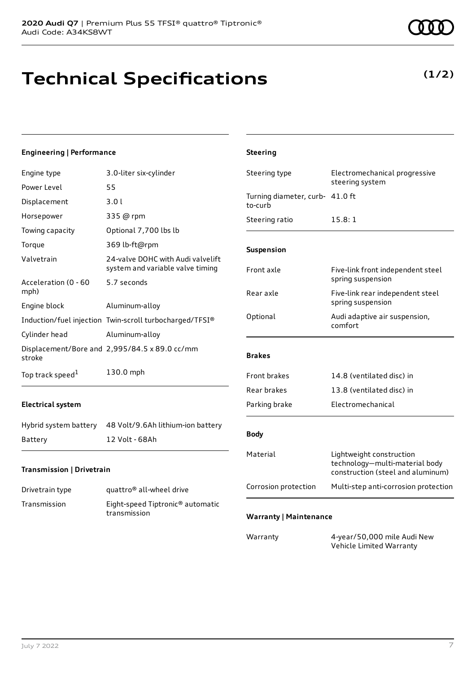# **Technical Specifications**

#### **Engineering | Performance**

| Engine type                  | 3.0-liter six-cylinder                                                | Steering type                              | Electromechanical progressive<br>steering system                                                |
|------------------------------|-----------------------------------------------------------------------|--------------------------------------------|-------------------------------------------------------------------------------------------------|
| Power Level                  | 55                                                                    |                                            |                                                                                                 |
| Displacement                 | 3.01                                                                  | Turning diameter, curb- 41.0 ft<br>to-curb |                                                                                                 |
| Horsepower                   | 335 @ rpm                                                             | Steering ratio                             | 15.8:1                                                                                          |
| Towing capacity              | Optional 7,700 lbs lb                                                 |                                            |                                                                                                 |
| Torque                       | 369 lb-ft@rpm                                                         | Suspension                                 |                                                                                                 |
| Valvetrain                   | 24-valve DOHC with Audi valvelift<br>system and variable valve timing | Front axle                                 |                                                                                                 |
| Acceleration (0 - 60         | 5.7 seconds                                                           |                                            | Five-link front independent steel<br>spring suspension                                          |
| mph)                         |                                                                       | Rear axle                                  | Five-link rear independent steel                                                                |
| Engine block                 | Aluminum-alloy                                                        |                                            | spring suspension                                                                               |
|                              | Induction/fuel injection Twin-scroll turbocharged/TFSI®               | Optional                                   | Audi adaptive air suspension,<br>comfort                                                        |
| Cylinder head                | Aluminum-alloy                                                        |                                            |                                                                                                 |
| stroke                       | Displacement/Bore and 2,995/84.5 x 89.0 cc/mm                         | <b>Brakes</b>                              |                                                                                                 |
| Top track speed <sup>1</sup> | 130.0 mph                                                             | Front brakes                               | 14.8 (ventilated disc) in                                                                       |
|                              |                                                                       | Rear brakes                                | 13.8 (ventilated disc) in                                                                       |
| <b>Electrical system</b>     |                                                                       | Parking brake                              | Electromechanical                                                                               |
| Hybrid system battery        | 48 Volt/9.6Ah lithium-ion battery                                     |                                            |                                                                                                 |
| Battery                      | 12 Volt - 68Ah                                                        | <b>Body</b>                                |                                                                                                 |
| Transmission   Drivetrain    |                                                                       | Material                                   | Lightweight construction<br>technology-multi-material body<br>construction (steel and aluminum) |

**Steering**

| Drivetrain type | quattro <sup>®</sup> all-wheel drive                         |
|-----------------|--------------------------------------------------------------|
| Transmission    | Eight-speed Tiptronic <sup>®</sup> automatic<br>transmission |

# **Warranty | Maintenance**

Warranty 4-year/50,000 mile Audi New Vehicle Limited Warranty

Corrosion protection Multi-step anti-corrosion protection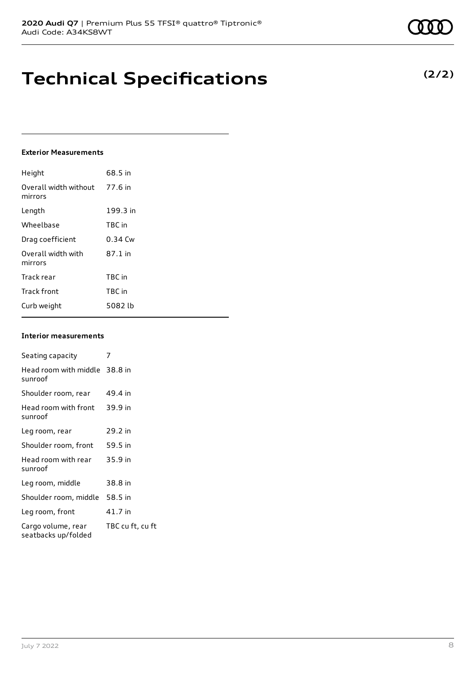# **Technical Specifications**

### **Exterior Measurements**

| Height                           | 68.5 in   |
|----------------------------------|-----------|
| Overall width without<br>mirrors | 77.6 in   |
| Length                           | 199.3 in  |
| Wheelbase                        | TBC in    |
| Drag coefficient                 | $0.34$ Cw |
| Overall width with<br>mirrors    | 87.1 in   |
| Track rear                       | TBC in    |
| <b>Track front</b>               | TBC in    |
| Curb weight                      | 5082 lb   |

#### **Interior measurements**

| Seating capacity                          | 7                |
|-------------------------------------------|------------------|
| Head room with middle 38.8 in<br>sunroof  |                  |
| Shoulder room, rear                       | 49.4 in          |
| Head room with front<br>sunroof           | 39.9 in          |
| Leg room, rear                            | 29.2 in          |
| Shoulder room, front                      | 59.5 in          |
| Head room with rear<br>sunroof            | 35.9 in          |
| Leg room, middle                          | 38.8 in          |
| Shoulder room, middle                     | 58.5 in          |
| Leg room, front                           | 41.7 in          |
| Cargo volume, rear<br>seatbacks up/folded | TBC cu ft, cu ft |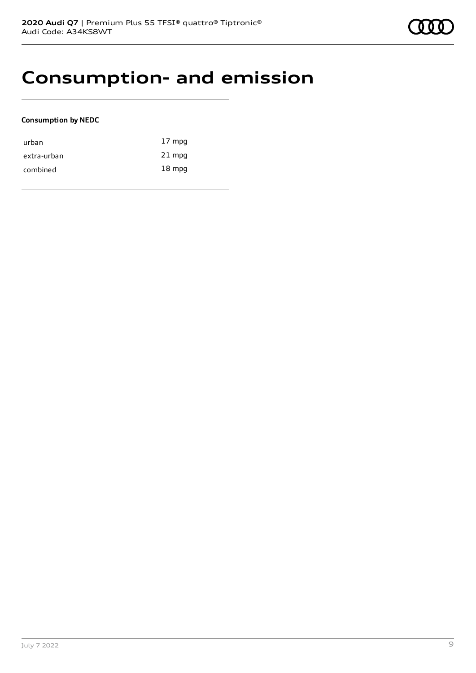# **Consumption- and emission**

### **Consumption by NEDC**

| urban       | $17 \text{ mpg}$ |
|-------------|------------------|
| extra-urban | $21$ mpg         |
| combined    | $18 \text{ mpg}$ |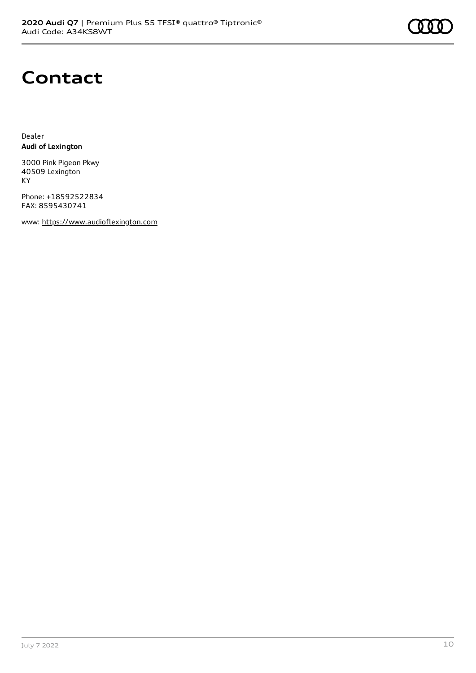

# **Contact**

Dealer **Audi of Lexington**

3000 Pink Pigeon Pkwy 40509 Lexington KY

Phone: +18592522834 FAX: 8595430741

www: [https://www.audioflexington.com](https://www.audioflexington.com/)